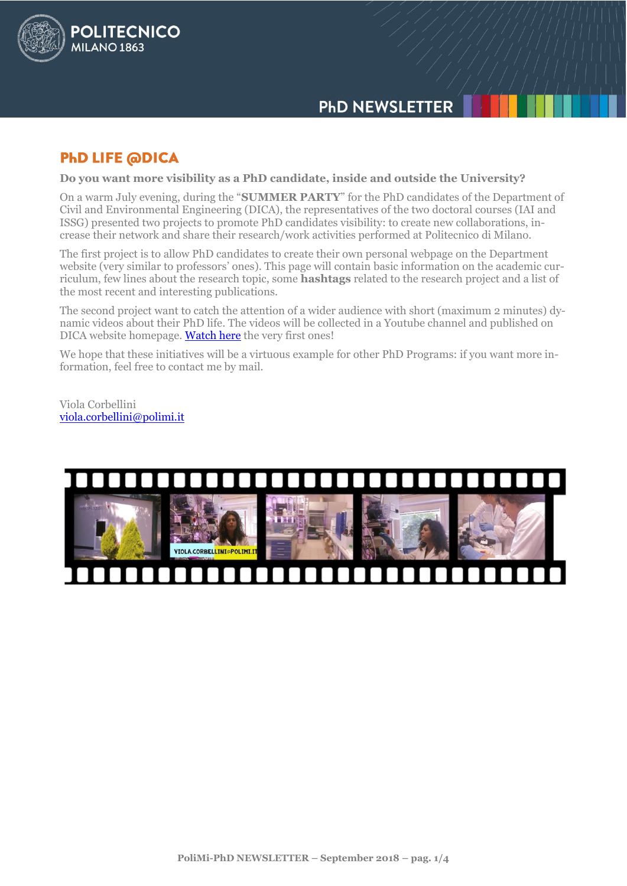

# **PHD LIFE @DICA**

**POLITECNICO** 

**MILANO 1863** 

**Do you want more visibility as a PhD candidate, inside and outside the University?**

On a warm July evening, during the "**SUMMER PARTY**" for the PhD candidates of the Department of Civil and Environmental Engineering (DICA), the representatives of the two doctoral courses (IAI and ISSG) presented two projects to promote PhD candidates visibility: to create new collaborations, increase their network and share their research/work activities performed at Politecnico di Milano.

The first project is to allow PhD candidates to create their own personal webpage on the Department website (very similar to professors' ones). This page will contain basic information on the academic curriculum, few lines about the research topic, some **hashtags** related to the research project and a list of the most recent and interesting publications.

The second project want to catch the attention of a wider audience with short (maximum 2 minutes) dynamic videos about their PhD life. The videos will be collected in a Youtube channel and published on DICA website homepage[. Watch here](https://www.youtube.com/watch?list=PL_06oobzMEutTkl8FpKcsQp3hFWa8W3Qm&time_continue=7&v=tBTmeVJgbXM) the very first ones!

We hope that these initiatives will be a virtuous example for other PhD Programs: if you want more information, feel free to contact me by mail.

Viola Corbellini [viola.corbellini@polimi.it](mailto:viola.corbellini@polimi.it)

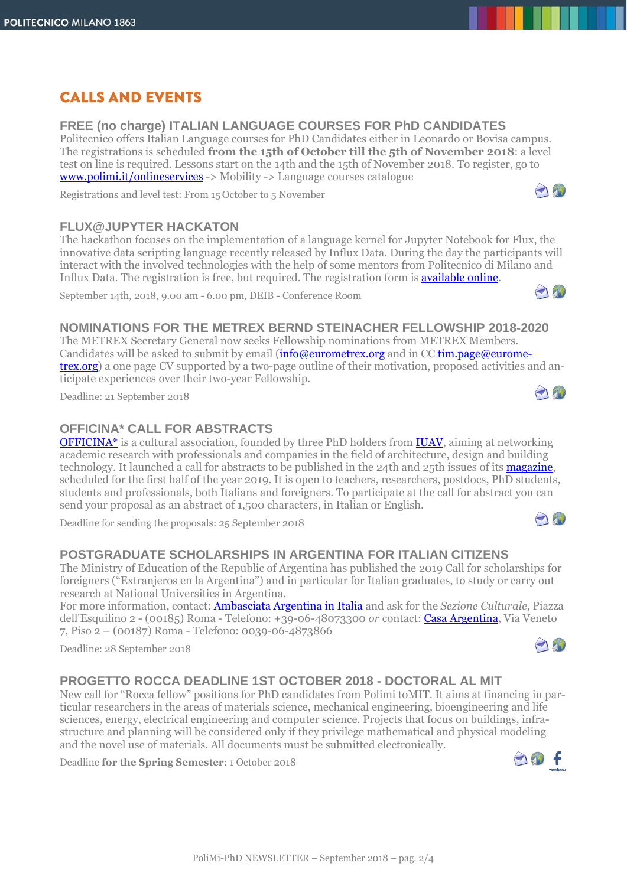# **CALLS AND EVENTS**

### **FREE (no charge) ITALIAN LANGUAGE COURSES FOR PhD CANDIDATES**

Politecnico offers Italian Language courses for PhD Candidates either in Leonardo or Bovisa campus. The registrations is scheduled **from the 15th of October till the 5th of November 2018**: a level test on line is required. Lessons start on the 14th and the 15th of November 2018. To register, go to [www.polimi.it/onlineservices](http://www.polimi.it/onlineservices) -> Mobility -> Language courses catalogue

Registrations and level test: From 15 October to 5 November

### **FLUX@JUPYTER HACKATON**

The hackathon focuses on the implementation of a language kernel for Jupyter Notebook for Flux, the innovative data scripting language recently released by Influx Data. During the day the participants will interact with the involved technologies with the help of some mentors from Politecnico di Milano and Influx Data. The registration is free, but required. The registration form is [available online.](https://goo.gl/forms/DuA5befQHk8HeWsl1)

September 14th, 2018, 9.00 am - 6.00 pm, DEIB - Conference Room

### **NOMINATIONS FOR THE METREX BERND STEINACHER FELLOWSHIP 2018-2020**

The METREX Secretary General now seeks Fellowship nominations from METREX Members. Candidates will be asked to submit by email [\(info@eurometrex.org](mailto:info@eurometrex.org) and in CC [tim.page@eurome](mailto:tim.page@eurometrex.org)[trex.org\)](mailto:tim.page@eurometrex.org) a one page CV supported by a two-page outline of their motivation, proposed activities and anticipate experiences over their two-year Fellowship.

Deadline: 21 September 2018

## **OFFICINA\* CALL FOR ABSTRACTS**

OFFICINA<sup>\*</sup> is a cultural association, founded by three PhD holders from **IUAV**, aiming at networking academic research with professionals and companies in the field of architecture, design and building technology. It launched a call for abstracts to be published in the 24th and 25th issues of its [magazine,](http://www.officina-artec.com/pubblicazioni/) scheduled for the first half of the year 2019. It is open to teachers, researchers, postdocs, PhD students, students and professionals, both Italians and foreigners. To participate at the call for abstract you can send your proposal as an abstract of 1,500 characters, in Italian or English.

Deadline for sending the proposals: 25 September 2018

### **POSTGRADUATE SCHOLARSHIPS IN ARGENTINA FOR ITALIAN CITIZENS**

The Ministry of Education of the Republic of Argentina has published the 2019 Call for scholarships for foreigners ("Extranjeros en la Argentina") and in particular for Italian graduates, to study or carry out research at National Universities in Argentina.

For more information, contact: [Ambasciata Argentina in Italia](http://www.eital.cancilleria.gov.ar/) and ask for the *Sezione Culturale*, Piazza dell'Esquilino 2 - (00185) Roma - Telefono: +39-06-48073300 *or* contact: [Casa Argentina,](https://www.facebook.com/embajadaargentina.cultura/) Via Veneto 7, Piso 2 – (00187) Roma - Telefono: 0039-06-4873866

Deadline: 28 September 2018

## **PROGETTO ROCCA DEADLINE 1ST OCTOBER 2018 - DOCTORAL AL MIT**

New call for "Rocca fellow" positions for PhD candidates from Polimi toMIT. It aims at financing in particular researchers in the areas of materials science, mechanical engineering, bioengineering and life sciences, energy, electrical engineering and computer science. Projects that focus on buildings, infrastructure and planning will be considered only if they privilege mathematical and physical modeling and the novel use of materials. All documents must be submitted electronically.

Deadline **for the Spring Semester**: 1 October 2018





AND





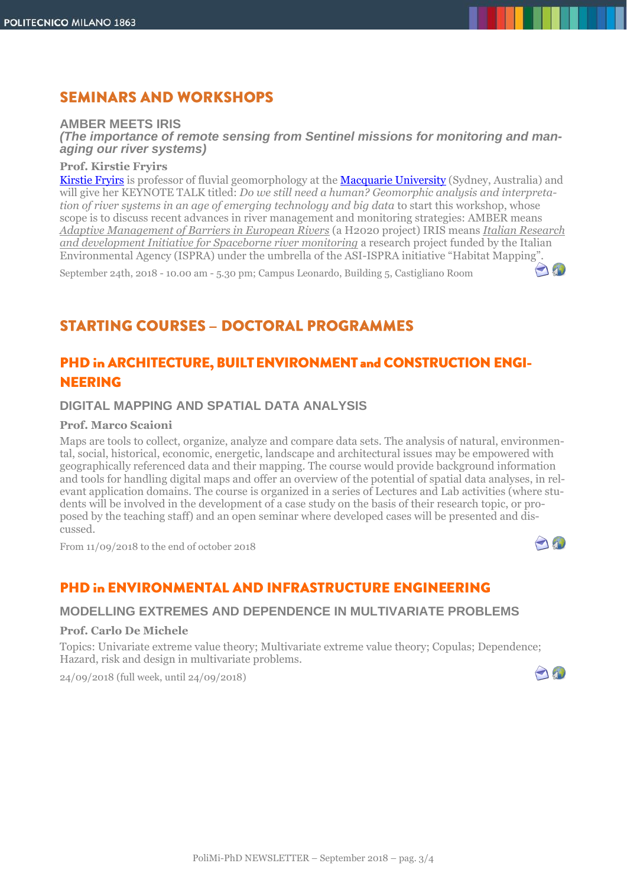## **SEMINARS AND WORKSHOPS**

#### **AMBER MEETS IRIS**

*(The importance of remote sensing from Sentinel missions for monitoring and managing our river systems)*

#### **Prof. Kirstie Fryirs**

[Kirstie Fryirs](https://researchers.mq.edu.au/en/persons/kirstie-fryirs) is professor of fluvial geomorphology at the [Macquarie University](https://www.mq.edu.au/) (Sydney, Australia) and will give her KEYNOTE TALK titled: *Do we still need a human? Geomorphic analysis and interpretation of river systems in an age of emerging technology and big data* to start this workshop, whose scope is to discuss recent advances in river management and monitoring strategies: AMBER means *Adaptive Management of Barriers in European Rivers* (a H2020 project) IRIS means *Italian Research and development Initiative for Spaceborne river monitoring* a research project funded by the Italian Environmental Agency (ISPRA) under the umbrella of the ASI-ISPRA initiative "Habitat Mapping".

September 24th, 2018 - 10.00 am - 5.30 pm; Campus Leonardo, Building 5, Castigliano Room

# **STARTING COURSES - DOCTORAL PROGRAMMES**

## PHD in ARCHITECTURE, BUILT ENVIRONMENT and CONSTRUCTION ENGI-**NEERING**

#### **DIGITAL MAPPING AND SPATIAL DATA ANALYSIS**

#### **Prof. Marco Scaioni**

Maps are tools to collect, organize, analyze and compare data sets. The analysis of natural, environmental, social, historical, economic, energetic, landscape and architectural issues may be empowered with geographically referenced data and their mapping. The course would provide background information and tools for handling digital maps and offer an overview of the potential of spatial data analyses, in relevant application domains. The course is organized in a series of Lectures and Lab activities (where students will be involved in the development of a case study on the basis of their research topic, or proposed by the teaching staff) and an open seminar where developed cases will be presented and discussed.

From 11/09/2018 to the end of october 2018

## **PHD in ENVIRONMENTAL AND INFRASTRUCTURE ENGINEERING**

#### **MODELLING EXTREMES AND DEPENDENCE IN MULTIVARIATE PROBLEMS**

#### **Prof. Carlo De Michele**

Topics: Univariate extreme value theory; Multivariate extreme value theory; Copulas; Dependence; Hazard, risk and design in multivariate problems.

24/09/2018 (full week, until 24/09/2018)



And

10